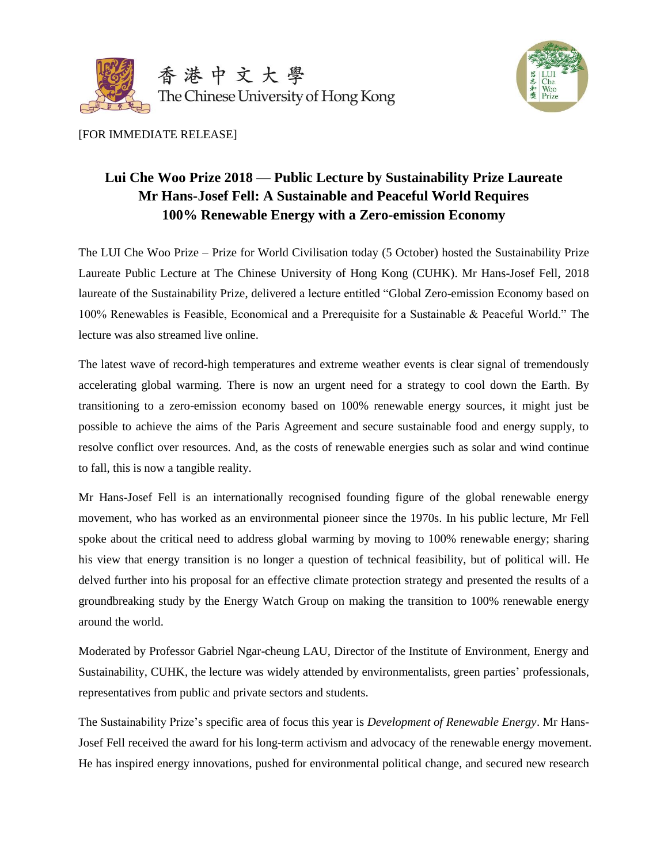



## [FOR IMMEDIATE RELEASE]

## **Lui Che Woo Prize 2018 — Public Lecture by Sustainability Prize Laureate Mr Hans-Josef Fell: A Sustainable and Peaceful World Requires 100% Renewable Energy with a Zero-emission Economy**

The LUI Che Woo Prize – Prize for World Civilisation today (5 October) hosted the Sustainability Prize Laureate Public Lecture at The Chinese University of Hong Kong (CUHK). Mr Hans-Josef Fell, 2018 laureate of the Sustainability Prize, delivered a lecture entitled "Global Zero-emission Economy based on 100% Renewables is Feasible, Economical and a Prerequisite for a Sustainable & Peaceful World." The lecture was also streamed live online.

The latest wave of record-high temperatures and extreme weather events is clear signal of tremendously accelerating global warming. There is now an urgent need for a strategy to cool down the Earth. By transitioning to a zero-emission economy based on 100% renewable energy sources, it might just be possible to achieve the aims of the Paris Agreement and secure sustainable food and energy supply, to resolve conflict over resources. And, as the costs of renewable energies such as solar and wind continue to fall, this is now a tangible reality.

Mr Hans-Josef Fell is an internationally recognised founding figure of the global renewable energy movement, who has worked as an environmental pioneer since the 1970s. In his public lecture, Mr Fell spoke about the critical need to address global warming by moving to 100% renewable energy; sharing his view that energy transition is no longer a question of technical feasibility, but of political will. He delved further into his proposal for an effective climate protection strategy and presented the results of a groundbreaking study by the Energy Watch Group on making the transition to 100% renewable energy around the world.

Moderated by Professor Gabriel Ngar-cheung LAU, Director of the Institute of Environment, Energy and Sustainability, CUHK, the lecture was widely attended by environmentalists, green parties' professionals, representatives from public and private sectors and students.

The Sustainability Prize's specific area of focus this year is *Development of Renewable Energy*. Mr Hans-Josef Fell received the award for his long-term activism and advocacy of the renewable energy movement. He has inspired energy innovations, pushed for environmental political change, and secured new research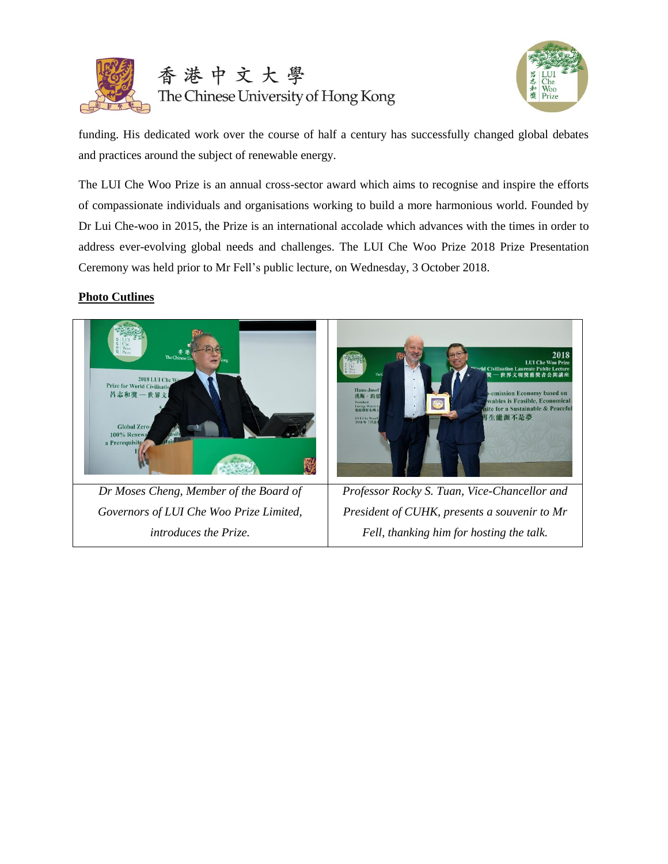





funding. His dedicated work over the course of half a century has successfully changed global debates and practices around the subject of renewable energy.

The LUI Che Woo Prize is an annual cross-sector award which aims to recognise and inspire the efforts of compassionate individuals and organisations working to build a more harmonious world. Founded by Dr Lui Che-woo in 2015, the Prize is an international accolade which advances with the times in order to address ever-evolving global needs and challenges. The LUI Che Woo Prize 2018 Prize Presentation Ceremony was held prior to Mr Fell's public lecture, on Wednesday, 3 October 2018.

## **Photo Cutlines**

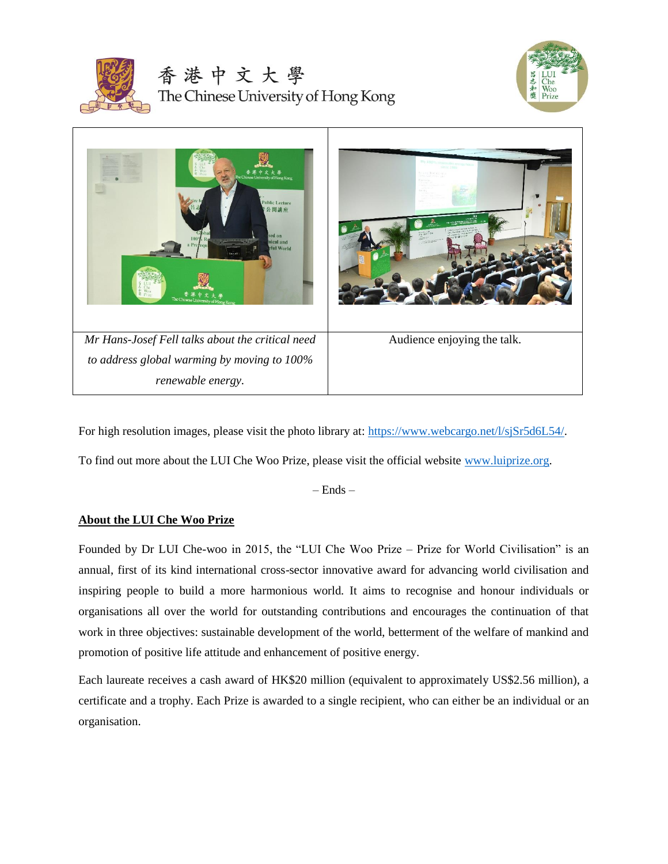

香港中文大學 The Chinese University of Hong Kong





For high resolution images, please visit the photo library at: [https://www.webcargo.net/l/sjSr5d6L54/.](https://www.webcargo.net/l/sjSr5d6L54/)

To find out more about the LUI Che Woo Prize, please visit the official website [www.luiprize.org.](http://www.luiprize.org/)

– Ends –

## **About the LUI Che Woo Prize**

Founded by Dr LUI Che-woo in 2015, the "LUI Che Woo Prize – Prize for World Civilisation" is an annual, first of its kind international cross-sector innovative award for advancing world civilisation and inspiring people to build a more harmonious world. It aims to recognise and honour individuals or organisations all over the world for outstanding contributions and encourages the continuation of that work in three objectives: sustainable development of the world, betterment of the welfare of mankind and promotion of positive life attitude and enhancement of positive energy.

Each laureate receives a cash award of HK\$20 million (equivalent to approximately US\$2.56 million), a certificate and a trophy. Each Prize is awarded to a single recipient, who can either be an individual or an organisation.